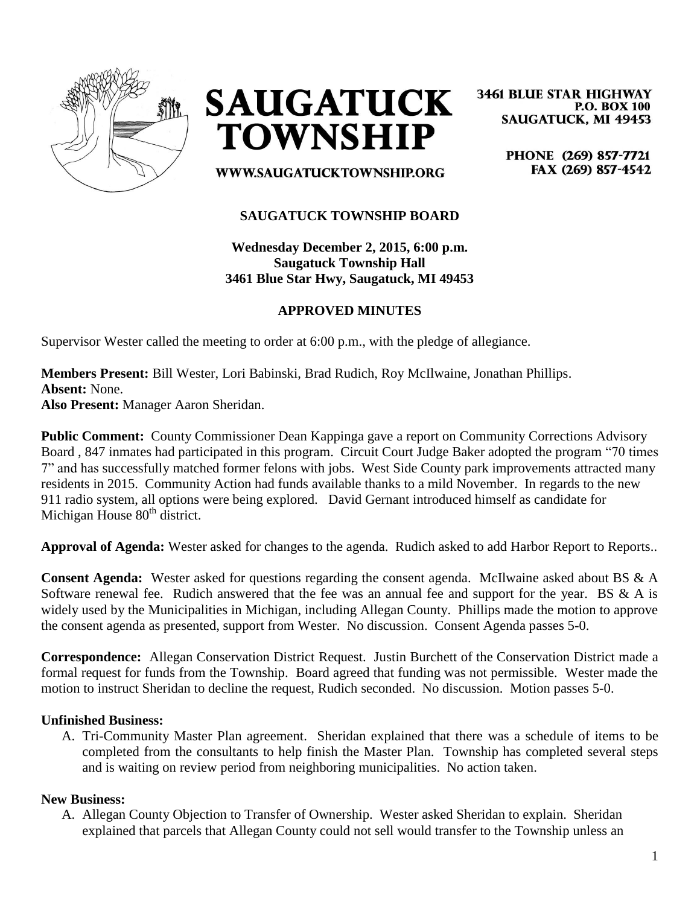



**3461 BLUE STAR HIGHWAY P.O. BOX 100 SAUGATUCK, MI 49453** 

> PHONE (269) 857-7721 FAX (269) 857-4542

WWW.SAUGATUCKTOWNSHIP.ORG

## **SAUGATUCK TOWNSHIP BOARD**

**Wednesday December 2, 2015, 6:00 p.m. Saugatuck Township Hall 3461 Blue Star Hwy, Saugatuck, MI 49453**

## **APPROVED MINUTES**

Supervisor Wester called the meeting to order at 6:00 p.m., with the pledge of allegiance.

**Members Present:** Bill Wester, Lori Babinski, Brad Rudich, Roy McIlwaine, Jonathan Phillips. **Absent:** None.

**Also Present:** Manager Aaron Sheridan.

**Public Comment:** County Commissioner Dean Kappinga gave a report on Community Corrections Advisory Board , 847 inmates had participated in this program. Circuit Court Judge Baker adopted the program "70 times 7" and has successfully matched former felons with jobs. West Side County park improvements attracted many residents in 2015. Community Action had funds available thanks to a mild November. In regards to the new 911 radio system, all options were being explored. David Gernant introduced himself as candidate for Michigan House  $80<sup>th</sup>$  district.

**Approval of Agenda:** Wester asked for changes to the agenda. Rudich asked to add Harbor Report to Reports..

**Consent Agenda:** Wester asked for questions regarding the consent agenda. McIlwaine asked about BS & A Software renewal fee. Rudich answered that the fee was an annual fee and support for the year. BS & A is widely used by the Municipalities in Michigan, including Allegan County. Phillips made the motion to approve the consent agenda as presented, support from Wester. No discussion. Consent Agenda passes 5-0.

**Correspondence:** Allegan Conservation District Request. Justin Burchett of the Conservation District made a formal request for funds from the Township. Board agreed that funding was not permissible. Wester made the motion to instruct Sheridan to decline the request, Rudich seconded. No discussion. Motion passes 5-0.

#### **Unfinished Business:**

A. Tri-Community Master Plan agreement. Sheridan explained that there was a schedule of items to be completed from the consultants to help finish the Master Plan. Township has completed several steps and is waiting on review period from neighboring municipalities. No action taken.

#### **New Business:**

A. Allegan County Objection to Transfer of Ownership. Wester asked Sheridan to explain. Sheridan explained that parcels that Allegan County could not sell would transfer to the Township unless an